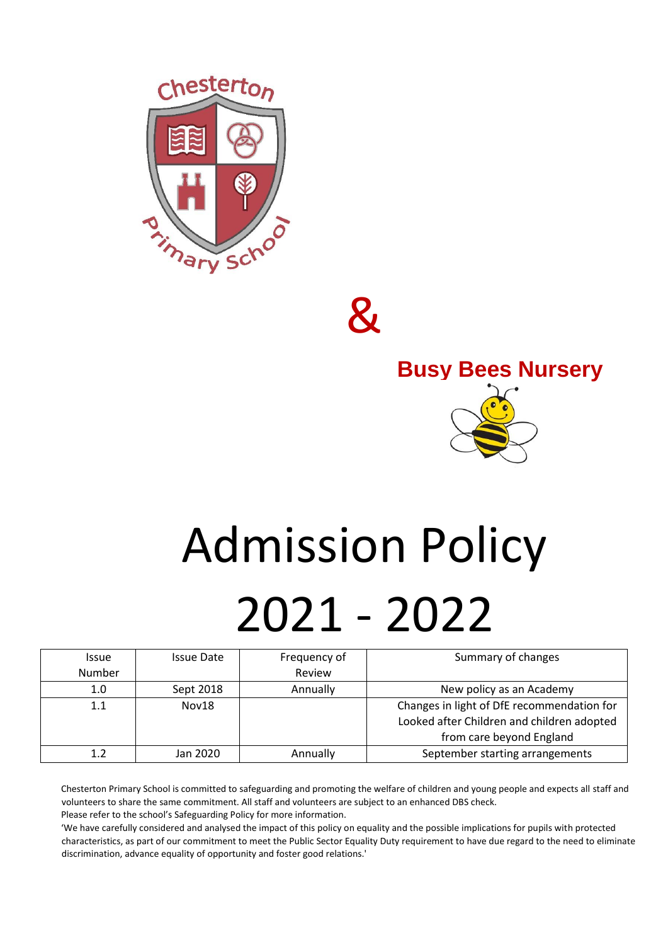

 $\mathcal{\mathcal{R}}$ 



# Admission Policy 2021 - 2022

| Issue  | <b>Issue Date</b> | Frequency of | Summary of changes                         |
|--------|-------------------|--------------|--------------------------------------------|
| Number |                   | Review       |                                            |
| 1.0    | Sept 2018         | Annually     | New policy as an Academy                   |
| 1.1    | Nov18             |              | Changes in light of DfE recommendation for |
|        |                   |              | Looked after Children and children adopted |
|        |                   |              | from care beyond England                   |
|        | Jan 2020          | Annually     | September starting arrangements            |

Chesterton Primary School is committed to safeguarding and promoting the welfare of children and young people and expects all staff and volunteers to share the same commitment. All staff and volunteers are subject to an enhanced DBS check. Please refer to the school's Safeguarding Policy for more information.

'We have carefully considered and analysed the impact of this policy on equality and the possible implications for pupils with protected characteristics, as part of our commitment to meet the Public Sector Equality Duty requirement to have due regard to the need to eliminate discrimination, advance equality of opportunity and foster good relations.'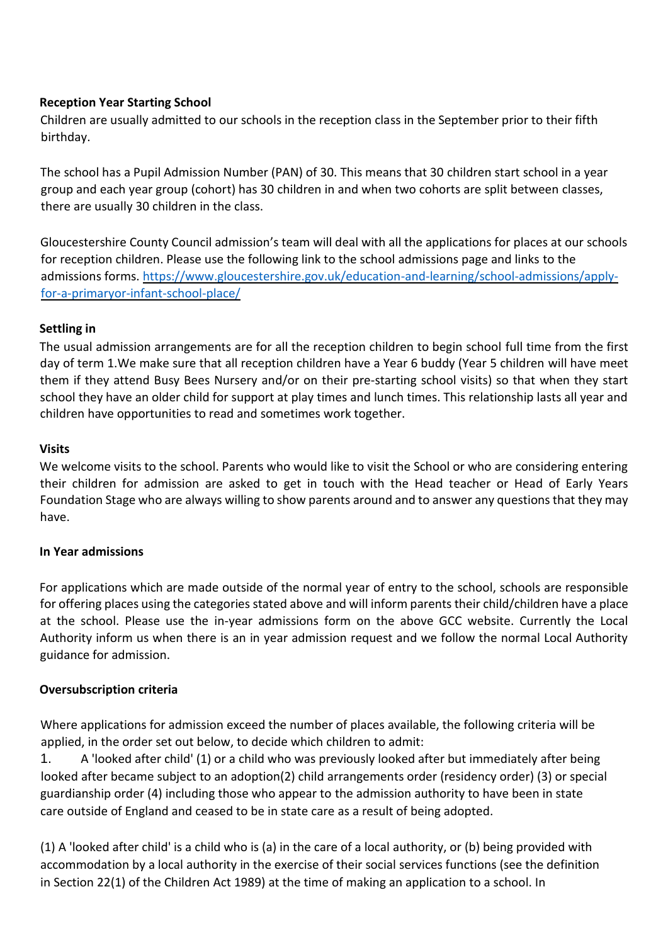## **Reception Year Starting School**

Children are usually admitted to our schools in the reception class in the September prior to their fifth birthday.

The school has a Pupil Admission Number (PAN) of 30. This means that 30 children start school in a year group and each year group (cohort) has 30 children in and when two cohorts are split between classes, there are usually 30 children in the class.

Gloucestershire County Council admission's team will deal with all the applications for places at our schools for reception children. Please use the following link to the school admissions page and links to the admissions forms. [https://www.gloucestershire.gov.uk/education-and-learning/school-admissions/apply](https://www.gloucestershire.gov.uk/education-and-learning/school-admissions/apply-for-a-primary-or-infant-school-place/)[for-a-primaryor-infant-school-place/](https://www.gloucestershire.gov.uk/education-and-learning/school-admissions/apply-for-a-primary-or-infant-school-place/)

## **Settling in**

The usual admission arrangements are for all the reception children to begin school full time from the first day of term 1.We make sure that all reception children have a Year 6 buddy (Year 5 children will have meet them if they attend Busy Bees Nursery and/or on their pre-starting school visits) so that when they start school they have an older child for support at play times and lunch times. This relationship lasts all year and children have opportunities to read and sometimes work together.

### **Visits**

We welcome visits to the school. Parents who would like to visit the School or who are considering entering their children for admission are asked to get in touch with the Head teacher or Head of Early Years Foundation Stage who are always willing to show parents around and to answer any questions that they may have.

## **In Year admissions**

For applications which are made outside of the normal year of entry to the school, schools are responsible for offering places using the categories stated above and will inform parents their child/children have a place at the school. Please use the in-year admissions form on the above GCC website. Currently the Local Authority inform us when there is an in year admission request and we follow the normal Local Authority guidance for admission.

## **Oversubscription criteria**

Where applications for admission exceed the number of places available, the following criteria will be applied, in the order set out below, to decide which children to admit:

1. A 'looked after child' (1) or a child who was previously looked after but immediately after being looked after became subject to an adoption(2) child arrangements order (residency order) (3) or special guardianship order (4) including those who appear to the admission authority to have been in state care outside of England and ceased to be in state care as a result of being adopted.

(1) A 'looked after child' is a child who is (a) in the care of a local authority, or (b) being provided with accommodation by a local authority in the exercise of their social services functions (see the definition in Section 22(1) of the Children Act 1989) at the time of making an application to a school. In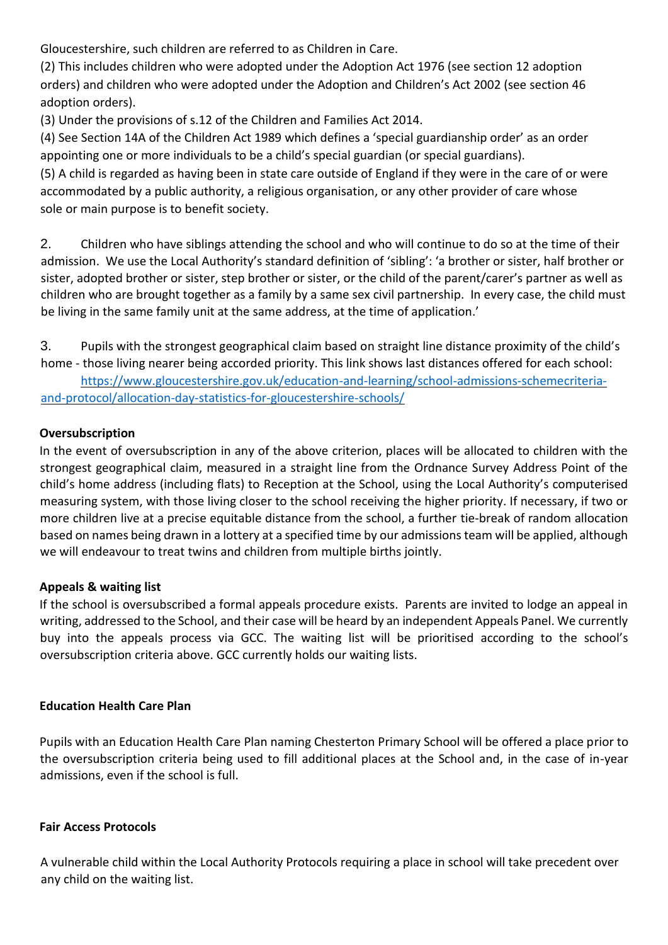Gloucestershire, such children are referred to as Children in Care.

(2) This includes children who were adopted under the Adoption Act 1976 (see section 12 adoption orders) and children who were adopted under the Adoption and Children's Act 2002 (see section 46 adoption orders).

(3) Under the provisions of s.12 of the Children and Families Act 2014.

(4) See Section 14A of the Children Act 1989 which defines a 'special guardianship order' as an order appointing one or more individuals to be a child's special guardian (or special guardians).

(5) A child is regarded as having been in state care outside of England if they were in the care of or were accommodated by a public authority, a religious organisation, or any other provider of care whose sole or main purpose is to benefit society.

2. Children who have siblings attending the school and who will continue to do so at the time of their admission. We use the Local Authority's standard definition of 'sibling': 'a brother or sister, half brother or sister, adopted brother or sister, step brother or sister, or the child of the parent/carer's partner as well as children who are brought together as a family by a same sex civil partnership. In every case, the child must be living in the same family unit at the same address, at the time of application.'

3. Pupils with the strongest geographical claim based on straight line distance proximity of the child's home - those living nearer being accorded priority. This link shows last distances offered for each school:

[https://www.gloucestershire.gov.uk/education-and-learning/school-admissions-schemecriteria](https://www.gloucestershire.gov.uk/education-and-learning/school-admissions-scheme-criteria-and-protocol/allocation-day-statistics-for-gloucestershire-schools/)[and-protocol/allocation-day-statistics-for-gloucestershire-schools/](https://www.gloucestershire.gov.uk/education-and-learning/school-admissions-scheme-criteria-and-protocol/allocation-day-statistics-for-gloucestershire-schools/)

# **Oversubscription**

In the event of oversubscription in any of the above criterion, places will be allocated to children with the strongest geographical claim, measured in a straight line from the Ordnance Survey Address Point of the child's home address (including flats) to Reception at the School, using the Local Authority's computerised measuring system, with those living closer to the school receiving the higher priority. If necessary, if two or more children live at a precise equitable distance from the school, a further tie-break of random allocation based on names being drawn in a lottery at a specified time by our admissions team will be applied, although we will endeavour to treat twins and children from multiple births jointly.

## **Appeals & waiting list**

If the school is oversubscribed a formal appeals procedure exists. Parents are invited to lodge an appeal in writing, addressed to the School, and their case will be heard by an independent Appeals Panel. We currently buy into the appeals process via GCC. The waiting list will be prioritised according to the school's oversubscription criteria above. GCC currently holds our waiting lists.

## **Education Health Care Plan**

Pupils with an Education Health Care Plan naming Chesterton Primary School will be offered a place prior to the oversubscription criteria being used to fill additional places at the School and, in the case of in-year admissions, even if the school is full.

## **Fair Access Protocols**

A vulnerable child within the Local Authority Protocols requiring a place in school will take precedent over any child on the waiting list.